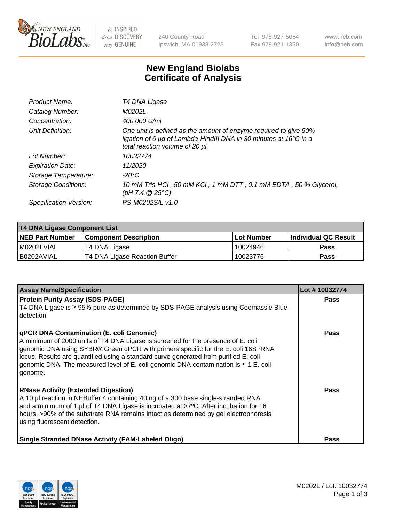

 $be$  INSPIRED drive DISCOVERY stay GENUINE

240 County Road Ipswich, MA 01938-2723 Tel 978-927-5054 Fax 978-921-1350 www.neb.com info@neb.com

## **New England Biolabs Certificate of Analysis**

| Product Name:           | T4 DNA Ligase                                                                                                                                                            |
|-------------------------|--------------------------------------------------------------------------------------------------------------------------------------------------------------------------|
| Catalog Number:         | <i>M0202L</i>                                                                                                                                                            |
| Concentration:          | 400,000 U/ml                                                                                                                                                             |
| Unit Definition:        | One unit is defined as the amount of enzyme required to give 50%<br>ligation of 6 µg of Lambda-HindIII DNA in 30 minutes at 16°C in a<br>total reaction volume of 20 µl. |
| Lot Number:             | 10032774                                                                                                                                                                 |
| <b>Expiration Date:</b> | 11/2020                                                                                                                                                                  |
| Storage Temperature:    | $-20^{\circ}$ C                                                                                                                                                          |
| Storage Conditions:     | 10 mM Tris-HCl, 50 mM KCl, 1 mM DTT, 0.1 mM EDTA, 50 % Glycerol,<br>(pH 7.4 $@25°C$ )                                                                                    |
| Specification Version:  | PS-M0202S/L v1.0                                                                                                                                                         |

| <b>T4 DNA Ligase Component List</b> |                               |                   |                      |  |
|-------------------------------------|-------------------------------|-------------------|----------------------|--|
| <b>NEB Part Number</b>              | <b>Component Description</b>  | <b>Lot Number</b> | Individual QC Result |  |
| I M0202LVIAL                        | T4 DNA Ligase                 | 10024946          | <b>Pass</b>          |  |
| I B0202AVIAL                        | T4 DNA Ligase Reaction Buffer | 10023776          | <b>Pass</b>          |  |

| <b>Assay Name/Specification</b>                                                                                                                                                                                                                                                                                                                                                                                         | Lot #10032774 |
|-------------------------------------------------------------------------------------------------------------------------------------------------------------------------------------------------------------------------------------------------------------------------------------------------------------------------------------------------------------------------------------------------------------------------|---------------|
| <b>Protein Purity Assay (SDS-PAGE)</b><br>T4 DNA Ligase is ≥ 95% pure as determined by SDS-PAGE analysis using Coomassie Blue<br>detection.                                                                                                                                                                                                                                                                             | <b>Pass</b>   |
| <b>qPCR DNA Contamination (E. coli Genomic)</b><br>A minimum of 2000 units of T4 DNA Ligase is screened for the presence of E. coli<br>genomic DNA using SYBR® Green qPCR with primers specific for the E. coli 16S rRNA<br>locus. Results are quantified using a standard curve generated from purified E. coli<br>genomic DNA. The measured level of E. coli genomic DNA contamination is $\leq 1$ E. coli<br>genome. | Pass          |
| <b>RNase Activity (Extended Digestion)</b><br>A 10 µl reaction in NEBuffer 4 containing 40 ng of a 300 base single-stranded RNA<br>and a minimum of 1 µl of T4 DNA Ligase is incubated at 37 $\degree$ C. After incubation for 16<br>hours, >90% of the substrate RNA remains intact as determined by gel electrophoresis<br>using fluorescent detection.                                                               | Pass          |
| <b>Single Stranded DNase Activity (FAM-Labeled Oligo)</b>                                                                                                                                                                                                                                                                                                                                                               | Pass          |

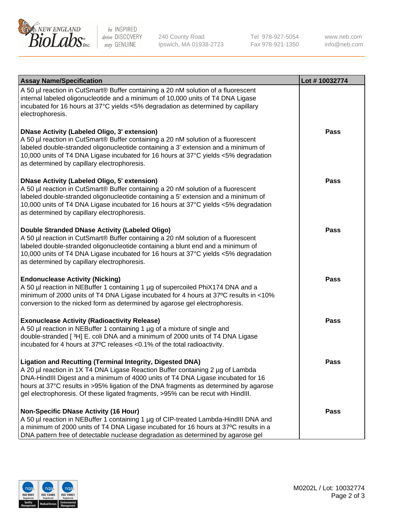

be INSPIRED drive DISCOVERY stay GENUINE

240 County Road Ipswich, MA 01938-2723 Tel 978-927-5054 Fax 978-921-1350

www.neb.com info@neb.com

| <b>Assay Name/Specification</b>                                                                                                                                                                                                                                                                                                                                                                                    | Lot #10032774 |
|--------------------------------------------------------------------------------------------------------------------------------------------------------------------------------------------------------------------------------------------------------------------------------------------------------------------------------------------------------------------------------------------------------------------|---------------|
| A 50 µl reaction in CutSmart® Buffer containing a 20 nM solution of a fluorescent<br>internal labeled oligonucleotide and a minimum of 10,000 units of T4 DNA Ligase<br>incubated for 16 hours at 37°C yields <5% degradation as determined by capillary<br>electrophoresis.                                                                                                                                       |               |
| <b>DNase Activity (Labeled Oligo, 3' extension)</b><br>A 50 µl reaction in CutSmart® Buffer containing a 20 nM solution of a fluorescent<br>labeled double-stranded oligonucleotide containing a 3' extension and a minimum of<br>10,000 units of T4 DNA Ligase incubated for 16 hours at 37°C yields <5% degradation<br>as determined by capillary electrophoresis.                                               | Pass          |
| <b>DNase Activity (Labeled Oligo, 5' extension)</b><br>A 50 µl reaction in CutSmart® Buffer containing a 20 nM solution of a fluorescent<br>labeled double-stranded oligonucleotide containing a 5' extension and a minimum of<br>10,000 units of T4 DNA Ligase incubated for 16 hours at 37°C yields <5% degradation<br>as determined by capillary electrophoresis.                                               | <b>Pass</b>   |
| <b>Double Stranded DNase Activity (Labeled Oligo)</b><br>A 50 µl reaction in CutSmart® Buffer containing a 20 nM solution of a fluorescent<br>labeled double-stranded oligonucleotide containing a blunt end and a minimum of<br>10,000 units of T4 DNA Ligase incubated for 16 hours at 37°C yields <5% degradation<br>as determined by capillary electrophoresis.                                                | <b>Pass</b>   |
| <b>Endonuclease Activity (Nicking)</b><br>A 50 µl reaction in NEBuffer 1 containing 1 µg of supercoiled PhiX174 DNA and a<br>minimum of 2000 units of T4 DNA Ligase incubated for 4 hours at 37°C results in <10%<br>conversion to the nicked form as determined by agarose gel electrophoresis.                                                                                                                   | <b>Pass</b>   |
| <b>Exonuclease Activity (Radioactivity Release)</b><br>A 50 µl reaction in NEBuffer 1 containing 1 µg of a mixture of single and<br>double-stranded [3H] E. coli DNA and a minimum of 2000 units of T4 DNA Ligase<br>incubated for 4 hours at 37°C releases <0.1% of the total radioactivity.                                                                                                                      | <b>Pass</b>   |
| <b>Ligation and Recutting (Terminal Integrity, Digested DNA)</b><br>A 20 µl reaction in 1X T4 DNA Ligase Reaction Buffer containing 2 µg of Lambda<br>DNA-HindIII Digest and a minimum of 4000 units of T4 DNA Ligase incubated for 16<br>hours at 37°C results in >95% ligation of the DNA fragments as determined by agarose<br>gel electrophoresis. Of these ligated fragments, >95% can be recut with HindIII. | <b>Pass</b>   |
| <b>Non-Specific DNase Activity (16 Hour)</b><br>A 50 µl reaction in NEBuffer 1 containing 1 µg of CIP-treated Lambda-HindIII DNA and<br>a minimum of 2000 units of T4 DNA Ligase incubated for 16 hours at 37°C results in a<br>DNA pattern free of detectable nuclease degradation as determined by agarose gel                                                                                                   | <b>Pass</b>   |